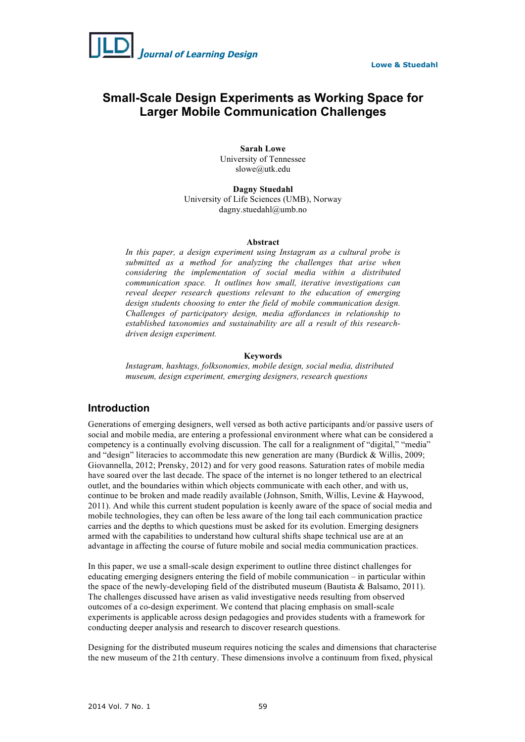

# **Small-Scale Design Experiments as Working Space for Larger Mobile Communication Challenges**

**Sarah Lowe** University of Tennessee slowe@utk.edu

**Dagny Stuedahl** University of Life Sciences (UMB), Norway dagny.stuedahl@umb.no

#### **Abstract**

*In this paper, a design experiment using Instagram as a cultural probe is submitted as a method for analyzing the challenges that arise when considering the implementation of social media within a distributed communication space. It outlines how small, iterative investigations can reveal deeper research questions relevant to the education of emerging design students choosing to enter the field of mobile communication design. Challenges of participatory design, media affordances in relationship to established taxonomies and sustainability are all a result of this researchdriven design experiment.*

#### **Keywords**

*Instagram, hashtags, folksonomies, mobile design, social media, distributed museum, design experiment, emerging designers, research questions*

# **Introduction**

Generations of emerging designers, well versed as both active participants and/or passive users of social and mobile media, are entering a professional environment where what can be considered a competency is a continually evolving discussion. The call for a realignment of "digital," "media" and "design" literacies to accommodate this new generation are many (Burdick & Willis, 2009; Giovannella, 2012; Prensky, 2012) and for very good reasons. Saturation rates of mobile media have soared over the last decade. The space of the internet is no longer tethered to an electrical outlet, and the boundaries within which objects communicate with each other, and with us, continue to be broken and made readily available (Johnson, Smith, Willis, Levine & Haywood, 2011). And while this current student population is keenly aware of the space of social media and mobile technologies, they can often be less aware of the long tail each communication practice carries and the depths to which questions must be asked for its evolution. Emerging designers armed with the capabilities to understand how cultural shifts shape technical use are at an advantage in affecting the course of future mobile and social media communication practices.

In this paper, we use a small-scale design experiment to outline three distinct challenges for educating emerging designers entering the field of mobile communication – in particular within the space of the newly-developing field of the distributed museum (Bautista & Balsamo, 2011). The challenges discussed have arisen as valid investigative needs resulting from observed outcomes of a co-design experiment. We contend that placing emphasis on small-scale experiments is applicable across design pedagogies and provides students with a framework for conducting deeper analysis and research to discover research questions.

Designing for the distributed museum requires noticing the scales and dimensions that characterise the new museum of the 21th century. These dimensions involve a continuum from fixed, physical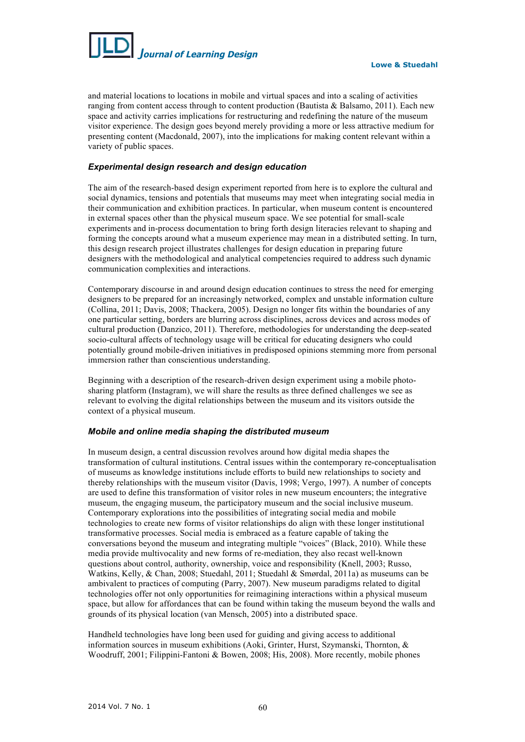

and material locations to locations in mobile and virtual spaces and into a scaling of activities ranging from content access through to content production (Bautista & Balsamo, 2011). Each new space and activity carries implications for restructuring and redefining the nature of the museum visitor experience. The design goes beyond merely providing a more or less attractive medium for presenting content (Macdonald, 2007), into the implications for making content relevant within a variety of public spaces.

# *Experimental design research and design education*

The aim of the research-based design experiment reported from here is to explore the cultural and social dynamics, tensions and potentials that museums may meet when integrating social media in their communication and exhibition practices. In particular, when museum content is encountered in external spaces other than the physical museum space. We see potential for small-scale experiments and in-process documentation to bring forth design literacies relevant to shaping and forming the concepts around what a museum experience may mean in a distributed setting. In turn, this design research project illustrates challenges for design education in preparing future designers with the methodological and analytical competencies required to address such dynamic communication complexities and interactions.

Contemporary discourse in and around design education continues to stress the need for emerging designers to be prepared for an increasingly networked, complex and unstable information culture (Collina, 2011; Davis, 2008; Thackera, 2005). Design no longer fits within the boundaries of any one particular setting, borders are blurring across disciplines, across devices and across modes of cultural production (Danzico, 2011). Therefore, methodologies for understanding the deep-seated socio-cultural affects of technology usage will be critical for educating designers who could potentially ground mobile-driven initiatives in predisposed opinions stemming more from personal immersion rather than conscientious understanding.

Beginning with a description of the research-driven design experiment using a mobile photosharing platform (Instagram), we will share the results as three defined challenges we see as relevant to evolving the digital relationships between the museum and its visitors outside the context of a physical museum.

# *Mobile and online media shaping the distributed museum*

In museum design, a central discussion revolves around how digital media shapes the transformation of cultural institutions. Central issues within the contemporary re-conceptualisation of museums as knowledge institutions include efforts to build new relationships to society and thereby relationships with the museum visitor (Davis, 1998; Vergo, 1997). A number of concepts are used to define this transformation of visitor roles in new museum encounters; the integrative museum, the engaging museum, the participatory museum and the social inclusive museum. Contemporary explorations into the possibilities of integrating social media and mobile technologies to create new forms of visitor relationships do align with these longer institutional transformative processes. Social media is embraced as a feature capable of taking the conversations beyond the museum and integrating multiple "voices" (Black, 2010). While these media provide multivocality and new forms of re-mediation, they also recast well-known questions about control, authority, ownership, voice and responsibility (Knell, 2003; Russo, Watkins, Kelly, & Chan, 2008; Stuedahl, 2011; Stuedahl & Smørdal, 2011a) as museums can be ambivalent to practices of computing (Parry, 2007). New museum paradigms related to digital technologies offer not only opportunities for reimagining interactions within a physical museum space, but allow for affordances that can be found within taking the museum beyond the walls and grounds of its physical location (van Mensch, 2005) into a distributed space.

Handheld technologies have long been used for guiding and giving access to additional information sources in museum exhibitions (Aoki, Grinter, Hurst, Szymanski, Thornton, & Woodruff, 2001; Filippini-Fantoni & Bowen, 2008; His, 2008). More recently, mobile phones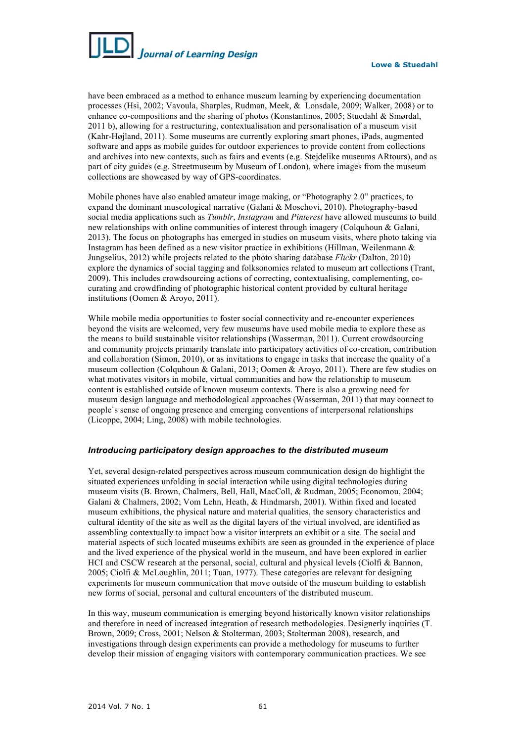

have been embraced as a method to enhance museum learning by experiencing documentation processes (Hsi, 2002; Vavoula, Sharples, Rudman, Meek, & Lonsdale, 2009; Walker, 2008) or to enhance co-compositions and the sharing of photos (Konstantinos, 2005; Stuedahl & Smørdal, 2011 b), allowing for a restructuring, contextualisation and personalisation of a museum visit (Kahr-Højland, 2011). Some museums are currently exploring smart phones, iPads, augmented software and apps as mobile guides for outdoor experiences to provide content from collections and archives into new contexts, such as fairs and events (e.g. Stejdelike museums ARtours), and as part of city guides (e.g. Streetmuseum by Museum of London), where images from the museum collections are showcased by way of GPS-coordinates.

Mobile phones have also enabled amateur image making, or "Photography 2.0" practices, to expand the dominant museological narrative (Galani & Moschovi, 2010). Photography-based social media applications such as *Tumblr*, *Instagram* and *Pinterest* have allowed museums to build new relationships with online communities of interest through imagery (Colquhoun & Galani, 2013). The focus on photographs has emerged in studies on museum visits, where photo taking via Instagram has been defined as a new visitor practice in exhibitions (Hillman, Weilenmann & Jungselius, 2012) while projects related to the photo sharing database *Flickr* (Dalton, 2010) explore the dynamics of social tagging and folksonomies related to museum art collections (Trant, 2009). This includes crowdsourcing actions of correcting, contextualising, complementing, cocurating and crowdfinding of photographic historical content provided by cultural heritage institutions (Oomen & Aroyo, 2011).

While mobile media opportunities to foster social connectivity and re-encounter experiences beyond the visits are welcomed, very few museums have used mobile media to explore these as the means to build sustainable visitor relationships (Wasserman, 2011). Current crowdsourcing and community projects primarily translate into participatory activities of co-creation, contribution and collaboration (Simon, 2010), or as invitations to engage in tasks that increase the quality of a museum collection (Colquhoun & Galani, 2013; Oomen & Aroyo, 2011). There are few studies on what motivates visitors in mobile, virtual communities and how the relationship to museum content is established outside of known museum contexts. There is also a growing need for museum design language and methodological approaches (Wasserman, 2011) that may connect to people`s sense of ongoing presence and emerging conventions of interpersonal relationships (Licoppe, 2004; Ling, 2008) with mobile technologies.

# *Introducing participatory design approaches to the distributed museum*

Yet, several design-related perspectives across museum communication design do highlight the situated experiences unfolding in social interaction while using digital technologies during museum visits (B. Brown, Chalmers, Bell, Hall, MacColl, & Rudman, 2005; Economou, 2004; Galani & Chalmers, 2002; Vom Lehn, Heath, & Hindmarsh, 2001). Within fixed and located museum exhibitions, the physical nature and material qualities, the sensory characteristics and cultural identity of the site as well as the digital layers of the virtual involved, are identified as assembling contextually to impact how a visitor interprets an exhibit or a site. The social and material aspects of such located museums exhibits are seen as grounded in the experience of place and the lived experience of the physical world in the museum, and have been explored in earlier HCI and CSCW research at the personal, social, cultural and physical levels (Ciolfi & Bannon, 2005; Ciolfi & McLoughlin, 2011; Tuan, 1977). These categories are relevant for designing experiments for museum communication that move outside of the museum building to establish new forms of social, personal and cultural encounters of the distributed museum.

In this way, museum communication is emerging beyond historically known visitor relationships and therefore in need of increased integration of research methodologies. Designerly inquiries (T. Brown, 2009; Cross, 2001; Nelson & Stolterman, 2003; Stolterman 2008), research, and investigations through design experiments can provide a methodology for museums to further develop their mission of engaging visitors with contemporary communication practices. We see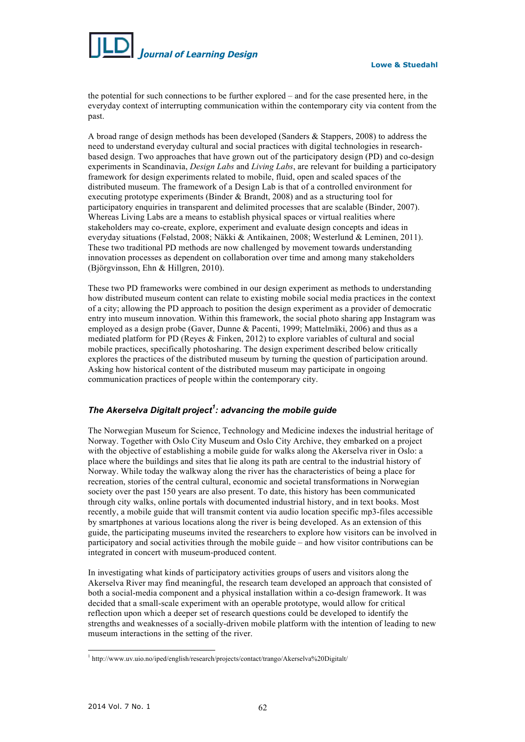

the potential for such connections to be further explored – and for the case presented here, in the everyday context of interrupting communication within the contemporary city via content from the past.

A broad range of design methods has been developed (Sanders & Stappers, 2008) to address the need to understand everyday cultural and social practices with digital technologies in researchbased design. Two approaches that have grown out of the participatory design (PD) and co-design experiments in Scandinavia, *Design Labs* and *Living Labs*, are relevant for building a participatory framework for design experiments related to mobile, fluid, open and scaled spaces of the distributed museum. The framework of a Design Lab is that of a controlled environment for executing prototype experiments (Binder & Brandt, 2008) and as a structuring tool for participatory enquiries in transparent and delimited processes that are scalable (Binder, 2007). Whereas Living Labs are a means to establish physical spaces or virtual realities where stakeholders may co-create, explore, experiment and evaluate design concepts and ideas in everyday situations (Følstad, 2008; Näkki & Antikainen, 2008; Westerlund & Leminen, 2011). These two traditional PD methods are now challenged by movement towards understanding innovation processes as dependent on collaboration over time and among many stakeholders (Björgvinsson, Ehn & Hillgren, 2010).

These two PD frameworks were combined in our design experiment as methods to understanding how distributed museum content can relate to existing mobile social media practices in the context of a city; allowing the PD approach to position the design experiment as a provider of democratic entry into museum innovation. Within this framework, the social photo sharing app Instagram was employed as a design probe (Gaver, Dunne & Pacenti, 1999; Mattelmäki, 2006) and thus as a mediated platform for PD (Reyes & Finken, 2012) to explore variables of cultural and social mobile practices, specifically photosharing. The design experiment described below critically explores the practices of the distributed museum by turning the question of participation around. Asking how historical content of the distributed museum may participate in ongoing communication practices of people within the contemporary city.

# *The Akerselva Digitalt project<sup>1</sup> : advancing the mobile guide*

The Norwegian Museum for Science, Technology and Medicine indexes the industrial heritage of Norway. Together with Oslo City Museum and Oslo City Archive, they embarked on a project with the objective of establishing a mobile guide for walks along the Akerselva river in Oslo: a place where the buildings and sites that lie along its path are central to the industrial history of Norway. While today the walkway along the river has the characteristics of being a place for recreation, stories of the central cultural, economic and societal transformations in Norwegian society over the past 150 years are also present. To date, this history has been communicated through city walks, online portals with documented industrial history, and in text books. Most recently, a mobile guide that will transmit content via audio location specific mp3-files accessible by smartphones at various locations along the river is being developed. As an extension of this guide, the participating museums invited the researchers to explore how visitors can be involved in participatory and social activities through the mobile guide – and how visitor contributions can be integrated in concert with museum-produced content.

In investigating what kinds of participatory activities groups of users and visitors along the Akerselva River may find meaningful, the research team developed an approach that consisted of both a social-media component and a physical installation within a co-design framework. It was decided that a small-scale experiment with an operable prototype, would allow for critical reflection upon which a deeper set of research questions could be developed to identify the strengths and weaknesses of a socially-driven mobile platform with the intention of leading to new museum interactions in the setting of the river.

<sup>&</sup>lt;sup>1</sup> http://www.uv.uio.no/iped/english/research/projects/contact/trango/Akerselva%20Digitalt/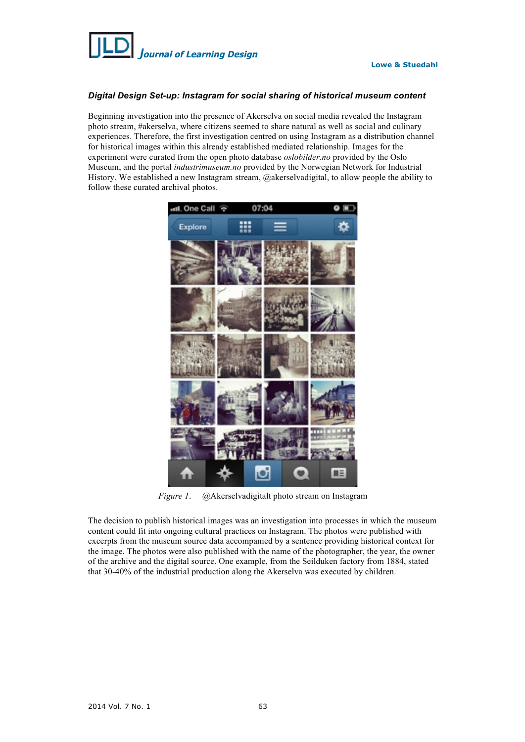

# *Digital Design Set-up: Instagram for social sharing of historical museum content*

Beginning investigation into the presence of Akerselva on social media revealed the Instagram photo stream, #akerselva, where citizens seemed to share natural as well as social and culinary experiences. Therefore, the first investigation centred on using Instagram as a distribution channel for historical images within this already established mediated relationship. Images for the experiment were curated from the open photo database *oslobilder.no* provided by the Oslo Museum, and the portal *industrimuseum.no* provided by the Norwegian Network for Industrial History. We established a new Instagram stream, @akerselvadigital, to allow people the ability to follow these curated archival photos.



*Figure 1*. @Akerselvadigitalt photo stream on Instagram

The decision to publish historical images was an investigation into processes in which the museum content could fit into ongoing cultural practices on Instagram. The photos were published with excerpts from the museum source data accompanied by a sentence providing historical context for the image. The photos were also published with the name of the photographer, the year, the owner of the archive and the digital source. One example, from the Seilduken factory from 1884, stated that 30-40% of the industrial production along the Akerselva was executed by children.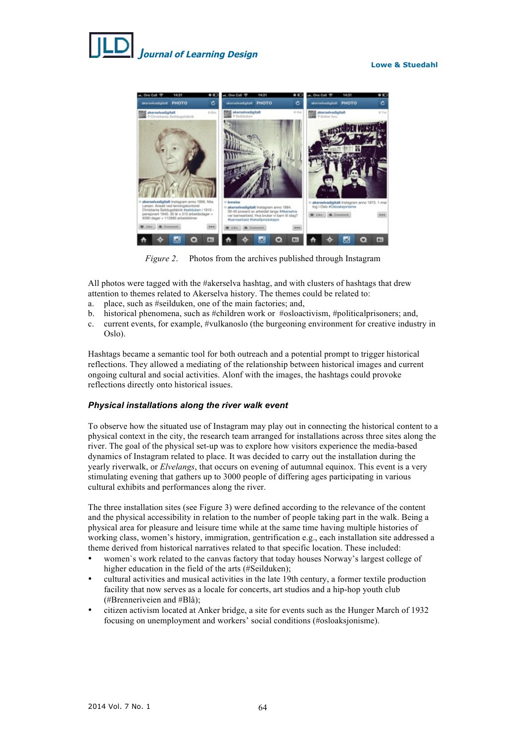#### **Lowe & Stuedahl**





*Figure 2*. Photos from the archives published through Instagram

All photos were tagged with the #akerselva hashtag, and with clusters of hashtags that drew attention to themes related to Akerselva history. The themes could be related to:

- a. place, such as #seilduken, one of the main factories; and,
- b. historical phenomena, such as #children work or #osloactivism, #politicalprisoners; and,
- c. current events, for example, #vulkanoslo (the burgeoning environment for creative industry in Oslo).

Hashtags became a semantic tool for both outreach and a potential prompt to trigger historical reflections. They allowed a mediating of the relationship between historical images and current ongoing cultural and social activities. Alonf with the images, the hashtags could provoke reflections directly onto historical issues.

#### *Physical installations along the river walk event*

To observe how the situated use of Instagram may play out in connecting the historical content to a physical context in the city, the research team arranged for installations across three sites along the river. The goal of the physical set-up was to explore how visitors experience the media-based dynamics of Instagram related to place. It was decided to carry out the installation during the yearly riverwalk, or *Elvelangs*, that occurs on evening of autumnal equinox. This event is a very stimulating evening that gathers up to 3000 people of differing ages participating in various cultural exhibits and performances along the river.

The three installation sites (see Figure 3) were defined according to the relevance of the content and the physical accessibility in relation to the number of people taking part in the walk. Being a physical area for pleasure and leisure time while at the same time having multiple histories of working class, women's history, immigration, gentrification e.g., each installation site addressed a theme derived from historical narratives related to that specific location. These included:

- women's work related to the canvas factory that today houses Norway's largest college of higher education in the field of the arts (#Seilduken);
- cultural activities and musical activities in the late 19th century, a former textile production facility that now serves as a locale for concerts, art studios and a hip-hop youth club (#Brenneriveien and #Blå);
- citizen activism located at Anker bridge, a site for events such as the Hunger March of 1932 focusing on unemployment and workers' social conditions (#osloaksjonisme).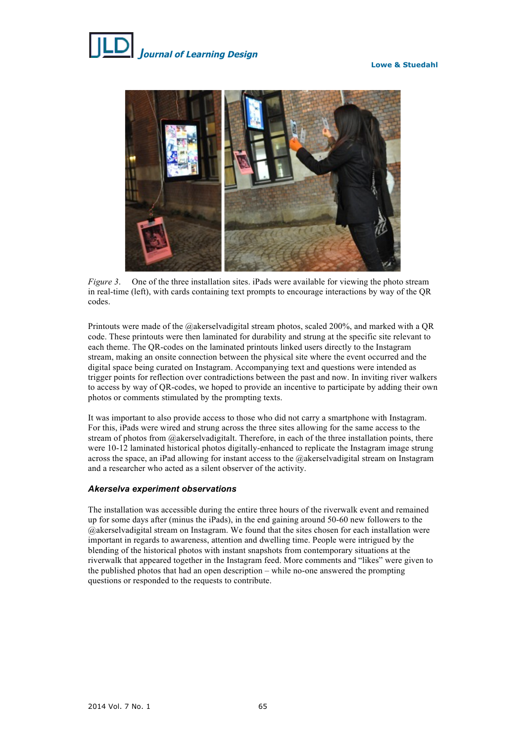

*Figure 3.* One of the three installation sites. iPads were available for viewing the photo stream in real-time (left), with cards containing text prompts to encourage interactions by way of the QR codes.

Printouts were made of the @akerselvadigital stream photos, scaled 200%, and marked with a QR code. These printouts were then laminated for durability and strung at the specific site relevant to each theme. The QR-codes on the laminated printouts linked users directly to the Instagram stream, making an onsite connection between the physical site where the event occurred and the digital space being curated on Instagram. Accompanying text and questions were intended as trigger points for reflection over contradictions between the past and now. In inviting river walkers to access by way of QR-codes, we hoped to provide an incentive to participate by adding their own photos or comments stimulated by the prompting texts.

It was important to also provide access to those who did not carry a smartphone with Instagram. For this, iPads were wired and strung across the three sites allowing for the same access to the stream of photos from  $@$ akerselvadigitalt. Therefore, in each of the three installation points, there were 10-12 laminated historical photos digitally-enhanced to replicate the Instagram image strung across the space, an iPad allowing for instant access to the @akerselvadigital stream on Instagram and a researcher who acted as a silent observer of the activity.

# *Akerselva experiment observations*

The installation was accessible during the entire three hours of the riverwalk event and remained up for some days after (minus the iPads), in the end gaining around 50-60 new followers to the @akerselvadigital stream on Instagram. We found that the sites chosen for each installation were important in regards to awareness, attention and dwelling time. People were intrigued by the blending of the historical photos with instant snapshots from contemporary situations at the riverwalk that appeared together in the Instagram feed. More comments and "likes" were given to the published photos that had an open description – while no-one answered the prompting questions or responded to the requests to contribute.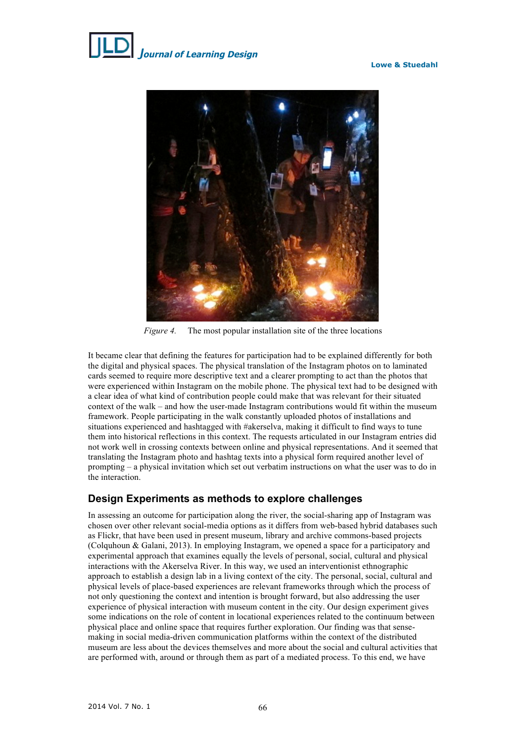**Lowe & Stuedahl**





*Figure 4.* The most popular installation site of the three locations

It became clear that defining the features for participation had to be explained differently for both the digital and physical spaces. The physical translation of the Instagram photos on to laminated cards seemed to require more descriptive text and a clearer prompting to act than the photos that were experienced within Instagram on the mobile phone. The physical text had to be designed with a clear idea of what kind of contribution people could make that was relevant for their situated context of the walk – and how the user-made Instagram contributions would fit within the museum framework. People participating in the walk constantly uploaded photos of installations and situations experienced and hashtagged with #akerselva, making it difficult to find ways to tune them into historical reflections in this context. The requests articulated in our Instagram entries did not work well in crossing contexts between online and physical representations. And it seemed that translating the Instagram photo and hashtag texts into a physical form required another level of prompting – a physical invitation which set out verbatim instructions on what the user was to do in the interaction.

# **Design Experiments as methods to explore challenges**

In assessing an outcome for participation along the river, the social-sharing app of Instagram was chosen over other relevant social-media options as it differs from web-based hybrid databases such as Flickr, that have been used in present museum, library and archive commons-based projects (Colquhoun & Galani, 2013). In employing Instagram, we opened a space for a participatory and experimental approach that examines equally the levels of personal, social, cultural and physical interactions with the Akerselva River. In this way, we used an interventionist ethnographic approach to establish a design lab in a living context of the city. The personal, social, cultural and physical levels of place-based experiences are relevant frameworks through which the process of not only questioning the context and intention is brought forward, but also addressing the user experience of physical interaction with museum content in the city. Our design experiment gives some indications on the role of content in locational experiences related to the continuum between physical place and online space that requires further exploration. Our finding was that sensemaking in social media-driven communication platforms within the context of the distributed museum are less about the devices themselves and more about the social and cultural activities that are performed with, around or through them as part of a mediated process. To this end, we have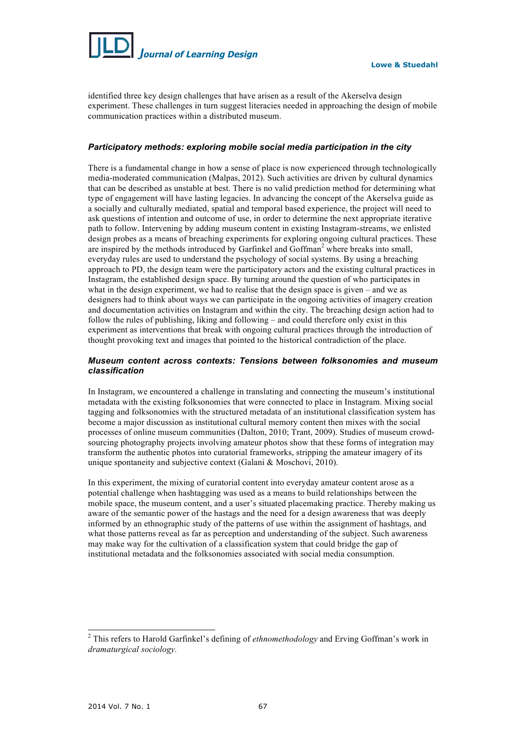

**Lowe & Stuedahl**

identified three key design challenges that have arisen as a result of the Akerselva design experiment. These challenges in turn suggest literacies needed in approaching the design of mobile communication practices within a distributed museum.

# *Participatory methods: exploring mobile social media participation in the city*

There is a fundamental change in how a sense of place is now experienced through technologically media-moderated communication (Malpas, 2012). Such activities are driven by cultural dynamics that can be described as unstable at best. There is no valid prediction method for determining what type of engagement will have lasting legacies. In advancing the concept of the Akerselva guide as a socially and culturally mediated, spatial and temporal based experience, the project will need to ask questions of intention and outcome of use, in order to determine the next appropriate iterative path to follow. Intervening by adding museum content in existing Instagram-streams, we enlisted design probes as a means of breaching experiments for exploring ongoing cultural practices. These are inspired by the methods introduced by Garfinkel and Goffman<sup>2</sup> where breaks into small, everyday rules are used to understand the psychology of social systems. By using a breaching approach to PD, the design team were the participatory actors and the existing cultural practices in Instagram, the established design space. By turning around the question of who participates in what in the design experiment, we had to realise that the design space is given – and we as designers had to think about ways we can participate in the ongoing activities of imagery creation and documentation activities on Instagram and within the city. The breaching design action had to follow the rules of publishing, liking and following – and could therefore only exist in this experiment as interventions that break with ongoing cultural practices through the introduction of thought provoking text and images that pointed to the historical contradiction of the place.

# *Museum content across contexts: Tensions between folksonomies and museum classification*

In Instagram, we encountered a challenge in translating and connecting the museum's institutional metadata with the existing folksonomies that were connected to place in Instagram. Mixing social tagging and folksonomies with the structured metadata of an institutional classification system has become a major discussion as institutional cultural memory content then mixes with the social processes of online museum communities (Dalton, 2010; Trant, 2009). Studies of museum crowdsourcing photography projects involving amateur photos show that these forms of integration may transform the authentic photos into curatorial frameworks, stripping the amateur imagery of its unique spontaneity and subjective context (Galani & Moschovi, 2010).

In this experiment, the mixing of curatorial content into everyday amateur content arose as a potential challenge when hashtagging was used as a means to build relationships between the mobile space, the museum content, and a user's situated placemaking practice. Thereby making us aware of the semantic power of the hastags and the need for a design awareness that was deeply informed by an ethnographic study of the patterns of use within the assignment of hashtags, and what those patterns reveal as far as perception and understanding of the subject. Such awareness may make way for the cultivation of a classification system that could bridge the gap of institutional metadata and the folksonomies associated with social media consumption.

 <sup>2</sup> This refers to Harold Garfinkel's defining of *ethnomethodology* and Erving Goffman's work in *dramaturgical sociology.*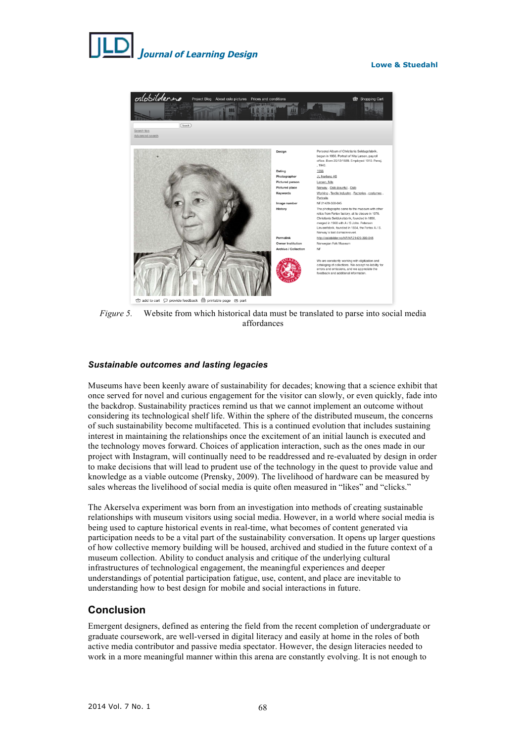# *J***ournal of Learning Design**

### **Lowe & Stuedahl**



*Figure 5.* Website from which historical data must be translated to parse into social media affordances

# *Sustainable outcomes and lasting legacies*

Museums have been keenly aware of sustainability for decades; knowing that a science exhibit that once served for novel and curious engagement for the visitor can slowly, or even quickly, fade into the backdrop. Sustainability practices remind us that we cannot implement an outcome without considering its technological shelf life. Within the sphere of the distributed museum, the concerns of such sustainability become multifaceted. This is a continued evolution that includes sustaining interest in maintaining the relationships once the excitement of an initial launch is executed and the technology moves forward. Choices of application interaction, such as the ones made in our project with Instagram, will continually need to be readdressed and re-evaluated by design in order to make decisions that will lead to prudent use of the technology in the quest to provide value and knowledge as a viable outcome (Prensky, 2009). The livelihood of hardware can be measured by sales whereas the livelihood of social media is quite often measured in "likes" and "clicks."

The Akerselva experiment was born from an investigation into methods of creating sustainable relationships with museum visitors using social media. However, in a world where social media is being used to capture historical events in real-time, what becomes of content generated via participation needs to be a vital part of the sustainability conversation. It opens up larger questions of how collective memory building will be housed, archived and studied in the future context of a museum collection. Ability to conduct analysis and critique of the underlying cultural infrastructures of technological engagement, the meaningful experiences and deeper understandings of potential participation fatigue, use, content, and place are inevitable to understanding how to best design for mobile and social interactions in future.

# **Conclusion**

Emergent designers, defined as entering the field from the recent completion of undergraduate or graduate coursework, are well-versed in digital literacy and easily at home in the roles of both active media contributor and passive media spectator. However, the design literacies needed to work in a more meaningful manner within this arena are constantly evolving. It is not enough to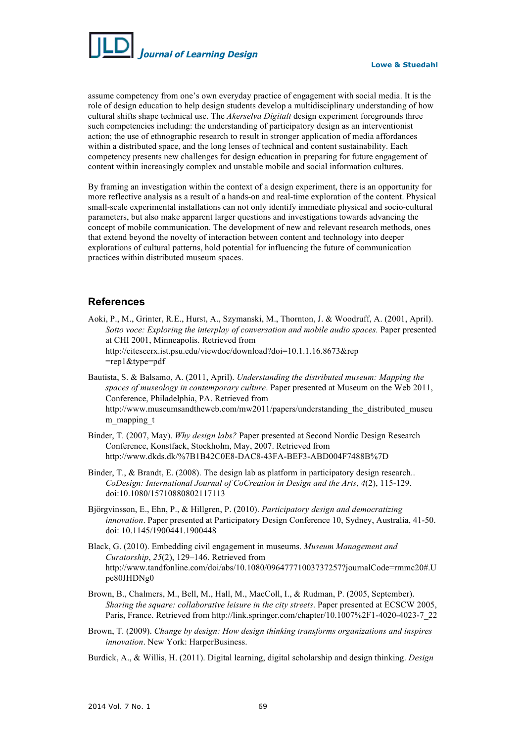

assume competency from one's own everyday practice of engagement with social media. It is the role of design education to help design students develop a multidisciplinary understanding of how cultural shifts shape technical use. The *Akerselva Digitalt* design experiment foregrounds three such competencies including: the understanding of participatory design as an interventionist action; the use of ethnographic research to result in stronger application of media affordances within a distributed space, and the long lenses of technical and content sustainability. Each competency presents new challenges for design education in preparing for future engagement of content within increasingly complex and unstable mobile and social information cultures.

By framing an investigation within the context of a design experiment, there is an opportunity for more reflective analysis as a result of a hands-on and real-time exploration of the content. Physical small-scale experimental installations can not only identify immediate physical and socio-cultural parameters, but also make apparent larger questions and investigations towards advancing the concept of mobile communication. The development of new and relevant research methods, ones that extend beyond the novelty of interaction between content and technology into deeper explorations of cultural patterns, hold potential for influencing the future of communication practices within distributed museum spaces.

# **References**

- Aoki, P., M., Grinter, R.E., Hurst, A., Szymanski, M., Thornton, J. & Woodruff, A. (2001, April). *Sotto voce: Exploring the interplay of conversation and mobile audio spaces.* Paper presented at CHI 2001, Minneapolis. Retrieved from http://citeseerx.ist.psu.edu/viewdoc/download?doi=10.1.1.16.8673&rep =rep1&type=pdf
- Bautista, S. & Balsamo, A. (2011, April). *Understanding the distributed museum: Mapping the spaces of museology in contemporary culture*. Paper presented at Museum on the Web 2011, Conference, Philadelphia, PA. Retrieved from http://www.museumsandtheweb.com/mw2011/papers/understanding\_the\_distributed\_museu m\_mapping\_t
- Binder, T. (2007, May). *Why design labs?* Paper presented at Second Nordic Design Research Conference, Konstfack, Stockholm, May, 2007. Retrieved from http://www.dkds.dk/%7B1B42C0E8-DAC8-43FA-BEF3-ABD004F7488B%7D
- Binder, T., & Brandt, E. (2008). The design lab as platform in participatory design research.. *CoDesign: International Journal of CoCreation in Design and the Arts*, *4*(2), 115-129. doi:10.1080/15710880802117113
- Björgvinsson, E., Ehn, P., & Hillgren, P. (2010). *Participatory design and democratizing innovation*. Paper presented at Participatory Design Conference 10, Sydney, Australia, 41-50. doi: 10.1145/1900441.1900448
- Black, G. (2010). Embedding civil engagement in museums. *Museum Management and Curatorship*, *25*(2), 129–146. Retrieved from http://www.tandfonline.com/doi/abs/10.1080/09647771003737257?journalCode=rmmc20#.U pe80JHDNg0
- Brown, B., Chalmers, M., Bell, M., Hall, M., MacColl, I., & Rudman, P. (2005, September). *Sharing the square: collaborative leisure in the city streets*. Paper presented at ECSCW 2005, Paris, France. Retrieved from http://link.springer.com/chapter/10.1007%2F1-4020-4023-7\_22
- Brown, T. (2009). *Change by design: How design thinking transforms organizations and inspires innovation*. New York: HarperBusiness.
- Burdick, A., & Willis, H. (2011). Digital learning, digital scholarship and design thinking. *Design*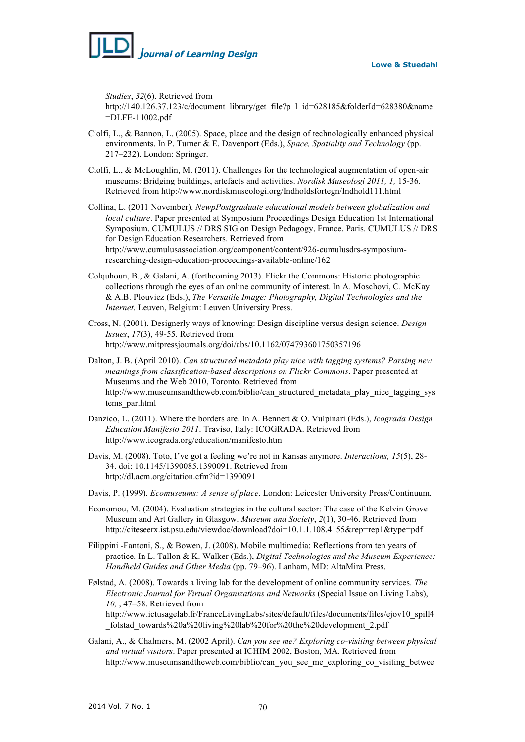

*Studies*, *32*(6). Retrieved from

http://140.126.37.123/c/document\_library/get\_file?p\_l\_id=628185&folderId=628380&name =DLFE-11002.pdf

- Ciolfi, L., & Bannon, L. (2005). Space, place and the design of technologically enhanced physical environments. In P. Turner & E. Davenport (Eds.), *Space, Spatiality and Technology* (pp. 217–232). London: Springer.
- Ciolfi, L., & McLoughlin, M. (2011). Challenges for the technological augmentation of open-air museums: Bridging buildings, artefacts and activities. *Nordisk Museologi 2011, 1,* 15-36. Retrieved from http://www.nordiskmuseologi.org/Indholdsfortegn/Indhold111.html
- Collina, L. (2011 November). *NewpPostgraduate educational models between globalization and local culture*. Paper presented at Symposium Proceedings Design Education 1st International Symposium. CUMULUS // DRS SIG on Design Pedagogy, France, Paris. CUMULUS // DRS for Design Education Researchers. Retrieved from http://www.cumulusassociation.org/component/content/926-cumulusdrs-symposiumresearching-design-education-proceedings-available-online/162
- Colquhoun, B., & Galani, A. (forthcoming 2013). Flickr the Commons: Historic photographic collections through the eyes of an online community of interest. In A. Moschovi, C. McKay & A.B. Plouviez (Eds.), *The Versatile Image: Photography, Digital Technologies and the Internet*. Leuven, Belgium: Leuven University Press.
- Cross, N. (2001). Designerly ways of knowing: Design discipline versus design science. *Design Issues*, *17*(3), 49-55. Retrieved from http://www.mitpressjournals.org/doi/abs/10.1162/074793601750357196
- Dalton, J. B. (April 2010). *Can structured metadata play nice with tagging systems? Parsing new meanings from classification-based descriptions on Flickr Commons*. Paper presented at Museums and the Web 2010, Toronto. Retrieved from http://www.museumsandtheweb.com/biblio/can\_structured\_metadata\_play\_nice\_tagging\_sys tems\_par.html
- Danzico, L. (2011). Where the borders are. In A. Bennett & O. Vulpinari (Eds.), *Icograda Design Education Manifesto 2011*. Traviso, Italy: ICOGRADA. Retrieved from http://www.icograda.org/education/manifesto.htm
- Davis, M. (2008). Toto, I've got a feeling we're not in Kansas anymore. *Interactions, 15*(5), 28- 34. doi: 10.1145/1390085.1390091. Retrieved from http://dl.acm.org/citation.cfm?id=1390091
- Davis, P. (1999). *Ecomuseums: A sense of place*. London: Leicester University Press/Continuum.
- Economou, M. (2004). Evaluation strategies in the cultural sector: The case of the Kelvin Grove Museum and Art Gallery in Glasgow. *Museum and Society*, *2*(1), 30-46. Retrieved from http://citeseerx.ist.psu.edu/viewdoc/download?doi=10.1.1.108.4155&rep=rep1&type=pdf
- Filippini -Fantoni, S., & Bowen, J. (2008). Mobile multimedia: Reflections from ten years of practice. In L. Tallon & K. Walker (Eds.), *Digital Technologies and the Museum Experience: Handheld Guides and Other Media* (pp. 79–96). Lanham, MD: AltaMira Press.
- Følstad, A. (2008). Towards a living lab for the development of online community services. *The Electronic Journal for Virtual Organizations and Networks* (Special Issue on Living Labs), *10,* , 47–58. Retrieved from

http://www.ictusagelab.fr/FranceLivingLabs/sites/default/files/documents/files/ejov10\_spill4 \_folstad\_towards%20a%20living%20lab%20for%20the%20development\_2.pdf

Galani, A., & Chalmers, M. (2002 April). *Can you see me? Exploring co-visiting between physical and virtual visitors*. Paper presented at ICHIM 2002, Boston, MA. Retrieved from http://www.museumsandtheweb.com/biblio/can\_you\_see\_me\_exploring\_co\_visiting\_betwee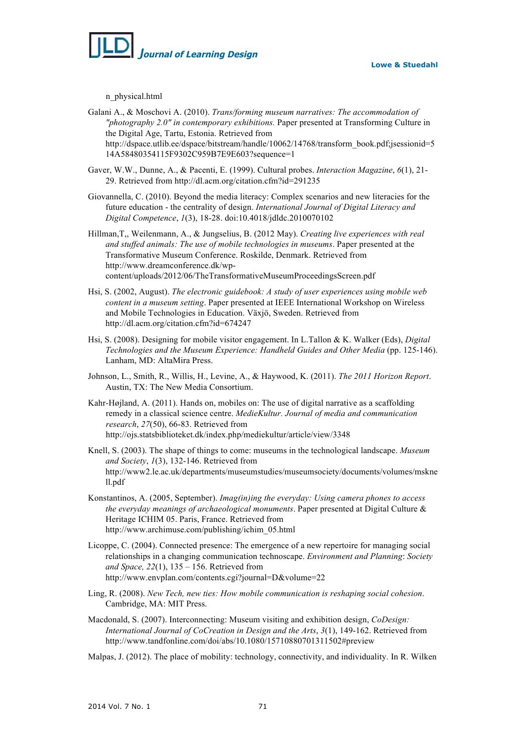

n\_physical.html

- Galani A., & Moschovi A. (2010). *Trans/forming museum narratives: The accommodation of "photography 2.0" in contemporary exhibitions.* Paper presented at Transforming Culture in the Digital Age, Tartu, Estonia. Retrieved from http://dspace.utlib.ee/dspace/bitstream/handle/10062/14768/transform\_book.pdf;jsessionid=5 14A58480354115F9302C959B7E9E603?sequence=1
- Gaver, W.W., Dunne, A., & Pacenti, E. (1999). Cultural probes. *Interaction Magazine*, *6*(1), 21- 29. Retrieved from http://dl.acm.org/citation.cfm?id=291235
- Giovannella, C. (2010). Beyond the media literacy: Complex scenarios and new literacies for the future education - the centrality of design. *International Journal of Digital Literacy and Digital Competence*, *1*(3), 18-28. doi:10.4018/jdldc.2010070102
- Hillman,T,, Weilenmann, A., & Jungselius, B. (2012 May). *Creating live experiences with real and stuffed animals: The use of mobile technologies in museums*. Paper presented at the Transformative Museum Conference. Roskilde, Denmark. Retrieved from http://www.dreamconference.dk/wpcontent/uploads/2012/06/TheTransformativeMuseumProceedingsScreen.pdf
- Hsi, S. (2002, August). *The electronic guidebook: A study of user experiences using mobile web content in a museum setting*. Paper presented at IEEE International Workshop on Wireless and Mobile Technologies in Education. Växjö, Sweden. Retrieved from http://dl.acm.org/citation.cfm?id=674247
- Hsi, S. (2008). Designing for mobile visitor engagement. In L.Tallon & K. Walker (Eds), *Digital Technologies and the Museum Experience: Handheld Guides and Other Media* (pp. 125-146). Lanham, MD: AltaMira Press.
- Johnson, L., Smith, R., Willis, H., Levine, A., & Haywood, K. (2011). *The 2011 Horizon Report*. Austin, TX: The New Media Consortium.
- Kahr-Højland, A. (2011). Hands on, mobiles on: The use of digital narrative as a scaffolding remedy in a classical science centre. *MedieKultur. Journal of media and communication research*, *27*(50), 66-83. Retrieved from http://ojs.statsbiblioteket.dk/index.php/mediekultur/article/view/3348
- Knell, S. (2003). The shape of things to come: museums in the technological landscape. *Museum and Society*, *1*(3), 132-146. Retrieved from http://www2.le.ac.uk/departments/museumstudies/museumsociety/documents/volumes/mskne ll.pdf
- Konstantinos, A. (2005, September). *Imag(in)ing the everyday: Using camera phones to access the everyday meanings of archaeological monuments*. Paper presented at Digital Culture & Heritage ICHIM 05. Paris, France. Retrieved from http://www.archimuse.com/publishing/ichim\_05.html
- Licoppe, C. (2004). Connected presence: The emergence of a new repertoire for managing social relationships in a changing communication technoscape. *Environment and Planning*: *Society and Space, 22*(1), 135 – 156. Retrieved from http://www.envplan.com/contents.cgi?journal=D&volume=22
- Ling, R. (2008). *New Tech, new ties: How mobile communication is reshaping social cohesion*. Cambridge, MA: MIT Press.
- Macdonald, S. (2007). Interconnecting: Museum visiting and exhibition design, *CoDesign: International Journal of CoCreation in Design and the Arts*, *3*(1), 149-162. Retrieved from http://www.tandfonline.com/doi/abs/10.1080/15710880701311502#preview
- Malpas, J. (2012). The place of mobility: technology, connectivity, and individuality. In R. Wilken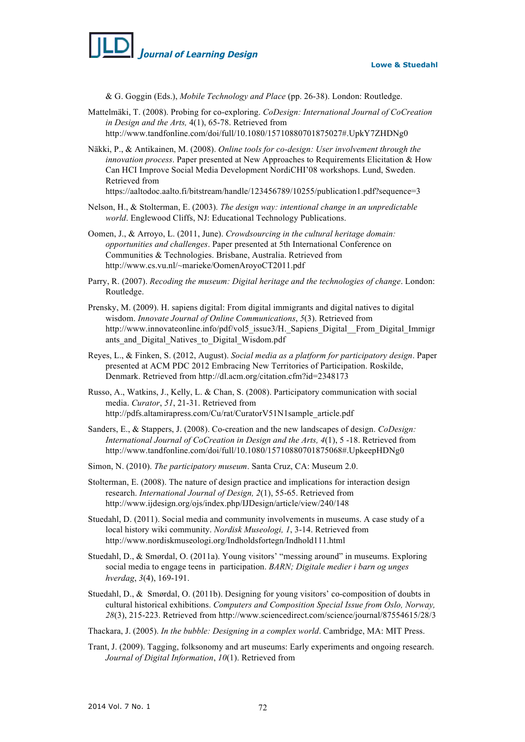

& G. Goggin (Eds.), *Mobile Technology and Place* (pp. 26-38). London: Routledge.

- Mattelmäki, T. (2008). Probing for co-exploring. *CoDesign: International Journal of CoCreation in Design and the Arts,* 4(1), 65-78. Retrieved from http://www.tandfonline.com/doi/full/10.1080/15710880701875027#.UpkY7ZHDNg0
- Näkki, P., & Antikainen, M. (2008). *Online tools for co-design: User involvement through the innovation process*. Paper presented at New Approaches to Requirements Elicitation & How Can HCI Improve Social Media Development NordiCHI'08 workshops. Lund, Sweden. Retrieved from

https://aaltodoc.aalto.fi/bitstream/handle/123456789/10255/publication1.pdf?sequence=3

- Nelson, H., & Stolterman, E. (2003). *The design way: intentional change in an unpredictable world*. Englewood Cliffs, NJ: Educational Technology Publications.
- Oomen, J., & Arroyo, L. (2011, June). *Crowdsourcing in the cultural heritage domain: opportunities and challenges*. Paper presented at 5th International Conference on Communities & Technologies. Brisbane, Australia. Retrieved from http://www.cs.vu.nl/~marieke/OomenAroyoCT2011.pdf
- Parry, R. (2007). *Recoding the museum: Digital heritage and the technologies of change*. London: Routledge.
- Prensky, M. (2009). H. sapiens digital: From digital immigrants and digital natives to digital wisdom. *Innovate Journal of Online Communications*, *5*(3). Retrieved from http://www.innovateonline.info/pdf/vol5\_issue3/H. Sapiens\_Digital\_From\_Digital\_Immigr ants and Digital Natives to Digital Wisdom.pdf
- Reyes, L., & Finken, S. (2012, August). *Social media as a platform for participatory design*. Paper presented at ACM PDC 2012 Embracing New Territories of Participation. Roskilde, Denmark. Retrieved from http://dl.acm.org/citation.cfm?id=2348173
- Russo, A., Watkins, J., Kelly, L. & Chan, S. (2008). Participatory communication with social media. *Curator*, *51*, 21-31. Retrieved from http://pdfs.altamirapress.com/Cu/rat/CuratorV51N1sample\_article.pdf
- Sanders, E., & Stappers, J. (2008). Co-creation and the new landscapes of design. *CoDesign: International Journal of CoCreation in Design and the Arts, 4*(1), 5 -18. Retrieved from http://www.tandfonline.com/doi/full/10.1080/15710880701875068#.UpkeepHDNg0
- Simon, N. (2010). *The participatory museum*. Santa Cruz, CA: Museum 2.0.
- Stolterman, E. (2008). The nature of design practice and implications for interaction design research. *International Journal of Design, 2*(1), 55-65. Retrieved from http://www.ijdesign.org/ojs/index.php/IJDesign/article/view/240/148
- Stuedahl, D. (2011). Social media and community involvements in museums. A case study of a local history wiki community. *Nordisk Museologi, 1*, 3-14. Retrieved from http://www.nordiskmuseologi.org/Indholdsfortegn/Indhold111.html
- Stuedahl, D., & Smørdal, O. (2011a). Young visitors' "messing around" in museums. Exploring social media to engage teens in participation. *BARN; Digitale medier i barn og unges hverdag*, *3*(4), 169-191.
- Stuedahl, D., & Smørdal, O. (2011b). Designing for young visitors' co-composition of doubts in cultural historical exhibitions. *Computers and Composition Special Issue from Oslo, Norway, 28*(3), 215-223. Retrieved from http://www.sciencedirect.com/science/journal/87554615/28/3

Thackara, J. (2005). *In the bubble: Designing in a complex world*. Cambridge, MA: MIT Press.

Trant, J. (2009). Tagging, folksonomy and art museums: Early experiments and ongoing research. *Journal of Digital Information*, *10*(1). Retrieved from